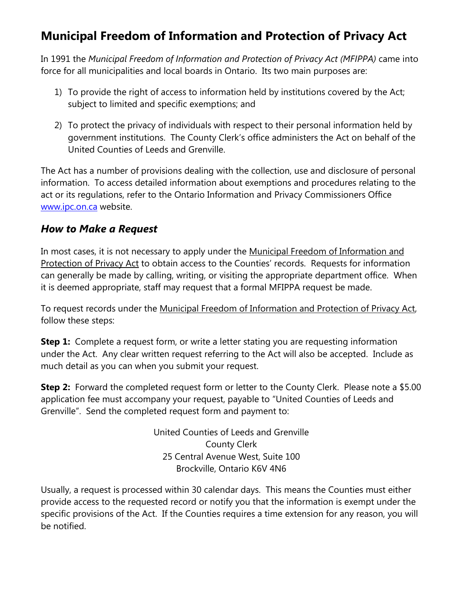## **Municipal Freedom of Information and Protection of Privacy Act**

In 1991 the *Municipal Freedom of Information and Protection of Privacy Act (MFIPPA)* came into force for all municipalities and local boards in Ontario. Its two main purposes are:

- 1) To provide the right of access to information held by institutions covered by the Act; subject to limited and specific exemptions; and
- 2) To protect the privacy of individuals with respect to their personal information held by government institutions. The County Clerk's office administers the Act on behalf of the United Counties of Leeds and Grenville.

The Act has a number of provisions dealing with the collection, use and disclosure of personal information. To access detailed information about exemptions and procedures relating to the act or its regulations, refer to the Ontario Information and Privacy Commissioners Office [www.ipc.on.ca](http://www.ipc.on.ca/) website.

## *How to Make a Request*

In most cases, it is not necessary to apply under the Municipal Freedom of Information and Protection of Privacy Act to obtain access to the Counties' records. Requests for information can generally be made by calling, writing, or visiting the appropriate department office. When it is deemed appropriate, staff may request that a formal MFIPPA request be made.

To request records under the Municipal Freedom of Information and Protection of Privacy Act, follow these steps:

**Step 1:** Complete a request form, or write a letter stating you are requesting information under the Act. Any clear written request referring to the Act will also be accepted. Include as much detail as you can when you submit your request.

**Step 2:** Forward the completed request form or letter to the County Clerk. Please note a \$5.00 application fee must accompany your request, payable to "United Counties of Leeds and Grenville". Send the completed request form and payment to:

> United Counties of Leeds and Grenville County Clerk 25 Central Avenue West, Suite 100 Brockville, Ontario K6V 4N6

Usually, a request is processed within 30 calendar days. This means the Counties must either provide access to the requested record or notify you that the information is exempt under the specific provisions of the Act. If the Counties requires a time extension for any reason, you will be notified.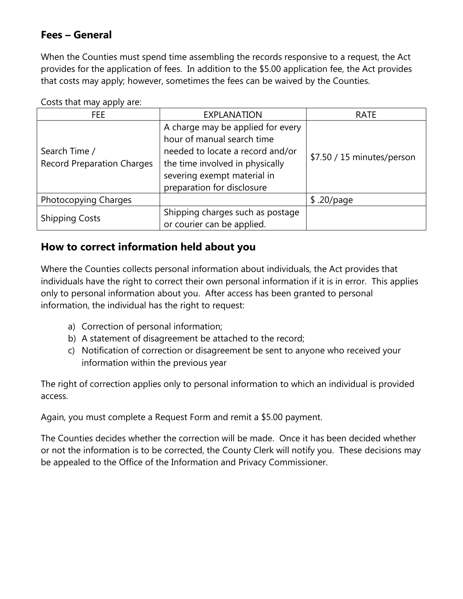## **Fees – General**

When the Counties must spend time assembling the records responsive to a request, the Act provides for the application of fees. In addition to the \$5.00 application fee, the Act provides that costs may apply; however, sometimes the fees can be waived by the Counties.

Costs that may apply are:

| FEE.                                               | <b>EXPLANATION</b>                                                                                                                                                                                  | <b>RATE</b>                |  |
|----------------------------------------------------|-----------------------------------------------------------------------------------------------------------------------------------------------------------------------------------------------------|----------------------------|--|
| Search Time /<br><b>Record Preparation Charges</b> | A charge may be applied for every<br>hour of manual search time<br>needed to locate a record and/or<br>the time involved in physically<br>severing exempt material in<br>preparation for disclosure | \$7.50 / 15 minutes/person |  |
| <b>Photocopying Charges</b>                        |                                                                                                                                                                                                     | \$.20/page                 |  |
| <b>Shipping Costs</b>                              | Shipping charges such as postage<br>or courier can be applied.                                                                                                                                      |                            |  |

## **How to correct information held about you**

Where the Counties collects personal information about individuals, the Act provides that individuals have the right to correct their own personal information if it is in error. This applies only to personal information about you. After access has been granted to personal information, the individual has the right to request:

- a) Correction of personal information;
- b) A statement of disagreement be attached to the record;
- c) Notification of correction or disagreement be sent to anyone who received your information within the previous year

The right of correction applies only to personal information to which an individual is provided access.

Again, you must complete a Request Form and remit a \$5.00 payment.

The Counties decides whether the correction will be made. Once it has been decided whether or not the information is to be corrected, the County Clerk will notify you. These decisions may be appealed to the Office of the Information and Privacy Commissioner.